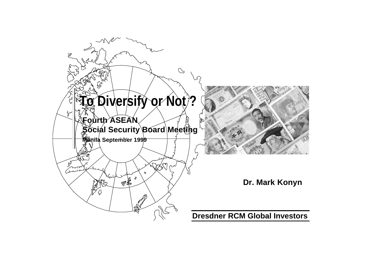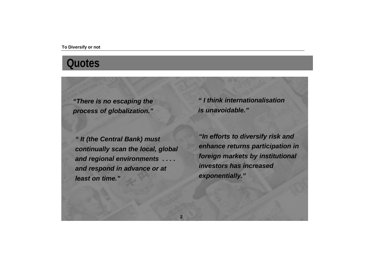### **Quotes**

*"There is no escaping the process of globalization."*

*" It (the Central Bank) must continually scan the local, global and regional environments . . . . and respond in advance or at least on time."*

*" I think internationalisation is unavoidable."*

*"In efforts to diversify risk and enhance returns participation in foreign markets by institutional investors has increased exponentially."*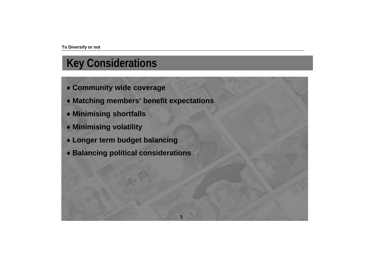# **Key Considerations**

- ♦ **Community wide coverage**
- ♦ **Matching members' benefit expectations**

**3**

- ♦ **Minimising shortfalls**
- ♦ **Minimising volatility**
- ♦ **Longer term budget balancing**
- ♦ **Balancing political considerations**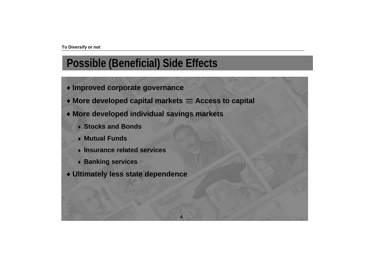## **Possible (Beneficial) Side Effects**

- ♦ **Improved corporate governance**
- More developed capital markets = Access to capital

**4**

- ♦ **More developed individual savings markets**
	- ♦ **Stocks and Bonds**
	- ♦ **Mutual Funds**
	- ♦ **Insurance related services**
	- ♦ **Banking services**
- ♦ **Ultimately less state dependence**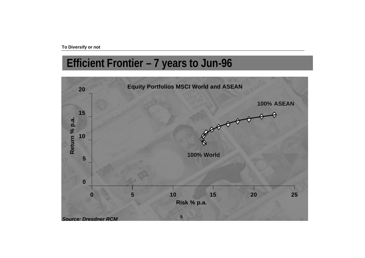# **Efficient Frontier – 7 years to Jun-96**

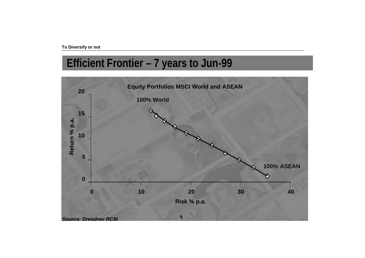# **Efficient Frontier – 7 years to Jun-99**

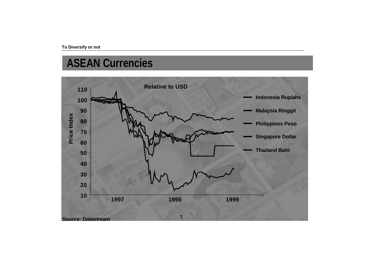# **ASEAN Currencies**

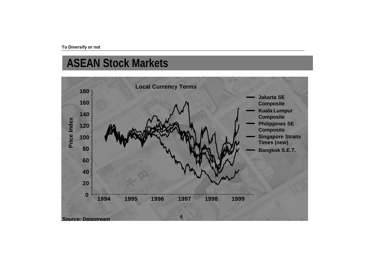# **ASEAN Stock Markets**

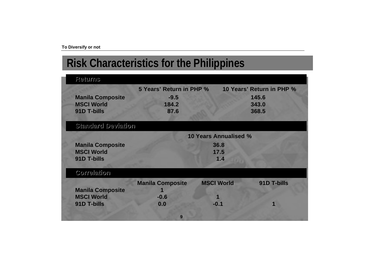# **Risk Characteristics for the Philippines**

| Returns                 |                              |                   |                           |  |  |
|-------------------------|------------------------------|-------------------|---------------------------|--|--|
|                         | 5 Years' Return in PHP %     |                   | 10 Years' Return in PHP % |  |  |
| <b>Manila Composite</b> | $-9.5$                       |                   | 145.6                     |  |  |
| <b>MSCI World</b>       | 184.2                        |                   | 343.0                     |  |  |
| 91D T-bills             | 87.6                         |                   | 368.5                     |  |  |
| notistved bristich      |                              |                   |                           |  |  |
|                         | <b>10 Years Annualised %</b> |                   |                           |  |  |
| <b>Manila Composite</b> |                              | 36.8              |                           |  |  |
| <b>MSCI World</b>       |                              | 17.5              |                           |  |  |
| 91D T-bills             |                              | 1.4               |                           |  |  |
| nothslerrod             |                              |                   |                           |  |  |
|                         |                              |                   |                           |  |  |
|                         | <b>Manila Composite</b>      | <b>MSCI World</b> | 91D T-bills               |  |  |
| <b>Manila Composite</b> |                              |                   |                           |  |  |
| <b>MSCI World</b>       | $-0.6$                       |                   |                           |  |  |
| 91D T-bills             | 0.0                          | $-0.1$            |                           |  |  |
|                         | 9                            |                   |                           |  |  |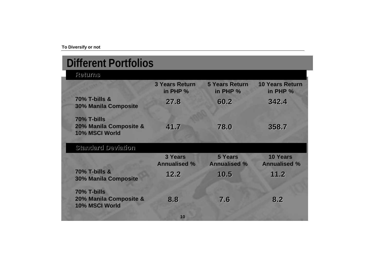| <b>Different Portfolios</b>                             |                                   |                                       |                                        |
|---------------------------------------------------------|-----------------------------------|---------------------------------------|----------------------------------------|
| Returns                                                 |                                   |                                       |                                        |
|                                                         | <b>3 Years Return</b><br>in PHP % | <b>5 Years Return</b><br>in PHP %     | <b>10 Years Return</b><br>in PHP %     |
| <b>70% T-bills &amp;</b><br><b>30% Manila Composite</b> | 27.8                              | 60.2                                  | 342.4                                  |
| 70% T-bills<br>20% Manila Composite &<br>10% MSCI World | 41.7                              | 78.0                                  | 358.7                                  |
| noitsived busbuste                                      |                                   |                                       |                                        |
|                                                         | 3 Years<br><b>Annualised %</b>    | <b>5 Years</b><br><b>Annualised %</b> | <b>10 Years</b><br><b>Annualised %</b> |
| <b>70% T-bills &amp;</b><br><b>30% Manila Composite</b> | 12.2                              | 10.5                                  | 11.2                                   |
| 70% T-bills                                             |                                   |                                       |                                        |
| 20% Manila Composite &<br>10% MSCI World                | 8.8                               | 7.6                                   | 8.2                                    |
|                                                         | 10                                |                                       |                                        |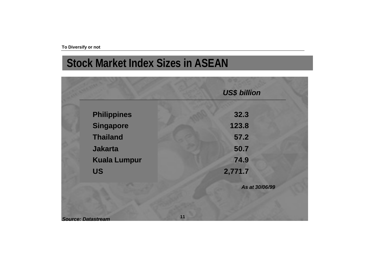# **Stock Market Index Sizes in ASEAN**

|                     | <b>US\$ billion</b> |
|---------------------|---------------------|
| <b>Philippines</b>  | 32.3                |
| Singapore           | 123.8               |
| <b>Thailand</b>     | 57.2                |
| <b>Jakarta</b>      | 50.7                |
| <b>Kuala Lumpur</b> | 74.9                |
| <b>US</b>           | 2,771.7             |
|                     | As at 30/06/99      |
|                     |                     |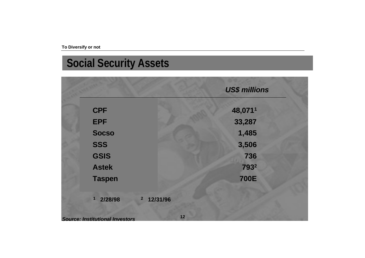# **Social Security Assets**

|                                        |                                     | <b>US\$ millions</b> |  |
|----------------------------------------|-------------------------------------|----------------------|--|
| <b>CPF</b>                             |                                     | 48,0711              |  |
| <b>EPF</b>                             |                                     | 33,287               |  |
| <b>Socso</b>                           |                                     | 1,485                |  |
| <b>SSS</b>                             |                                     | 3,506                |  |
| <b>GSIS</b>                            |                                     | 736                  |  |
| <b>Astek</b>                           |                                     | 7932                 |  |
| <b>Taspen</b>                          |                                     | <b>700E</b>          |  |
|                                        |                                     |                      |  |
| 2/28/98                                | 12/31/96<br>$\overline{\mathbf{c}}$ |                      |  |
| <b>Source: Institutional Investors</b> | 12                                  |                      |  |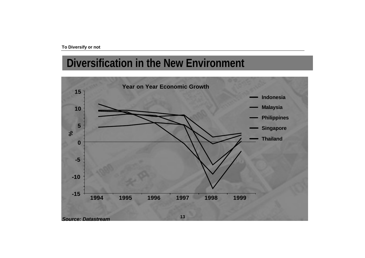# **Diversification in the New Environment**

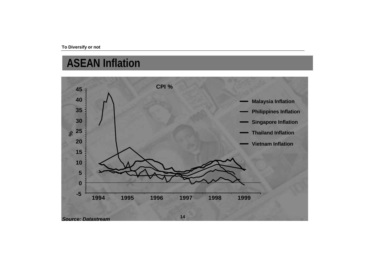# **ASEAN Inflation**

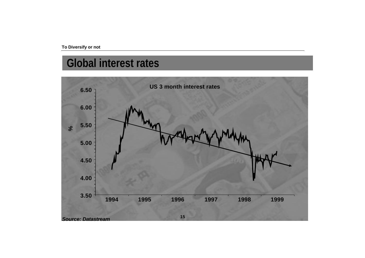# **Global interest rates**

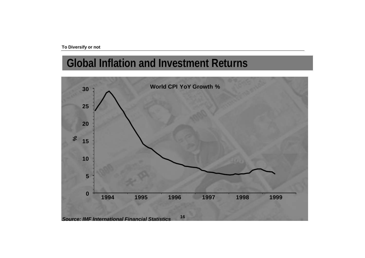# **Global Inflation and Investment Returns**